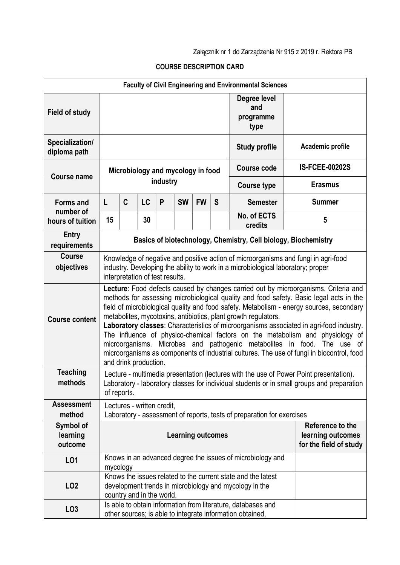Załącznik nr 1 do Zarządzenia Nr 915 z 2019 r. Rektora PB

## COURSE DESCRIPTION CARD

| <b>Faculty of Civil Engineering and Environmental Sciences</b> |                                                                                                                                                                                                                                                                                                                                                                                                                                                                                                                                                                                                                                                                                                                          |   |           |          |           |           |   |                                                                                                                           |                       |
|----------------------------------------------------------------|--------------------------------------------------------------------------------------------------------------------------------------------------------------------------------------------------------------------------------------------------------------------------------------------------------------------------------------------------------------------------------------------------------------------------------------------------------------------------------------------------------------------------------------------------------------------------------------------------------------------------------------------------------------------------------------------------------------------------|---|-----------|----------|-----------|-----------|---|---------------------------------------------------------------------------------------------------------------------------|-----------------------|
| <b>Field of study</b>                                          |                                                                                                                                                                                                                                                                                                                                                                                                                                                                                                                                                                                                                                                                                                                          |   |           |          |           |           |   | Degree level<br>and<br>programme<br>type                                                                                  |                       |
| Specialization/<br>diploma path                                |                                                                                                                                                                                                                                                                                                                                                                                                                                                                                                                                                                                                                                                                                                                          |   |           |          |           |           |   | <b>Study profile</b>                                                                                                      | Academic profile      |
| <b>Course name</b>                                             | Microbiology and mycology in food                                                                                                                                                                                                                                                                                                                                                                                                                                                                                                                                                                                                                                                                                        |   |           |          |           |           |   | <b>Course code</b>                                                                                                        | <b>IS-FCEE-00202S</b> |
|                                                                |                                                                                                                                                                                                                                                                                                                                                                                                                                                                                                                                                                                                                                                                                                                          |   |           | industry |           |           |   | <b>Course type</b>                                                                                                        | <b>Erasmus</b>        |
| <b>Forms and</b>                                               | L                                                                                                                                                                                                                                                                                                                                                                                                                                                                                                                                                                                                                                                                                                                        | C | <b>LC</b> | P        | <b>SW</b> | <b>FW</b> | S | <b>Semester</b>                                                                                                           | <b>Summer</b>         |
| number of<br>hours of tuition                                  | 15                                                                                                                                                                                                                                                                                                                                                                                                                                                                                                                                                                                                                                                                                                                       |   | 30        |          |           |           |   | No. of ECTS<br>credits                                                                                                    | $5\phantom{.0}$       |
| <b>Entry</b><br>requirements                                   | Basics of biotechnology, Chemistry, Cell biology, Biochemistry                                                                                                                                                                                                                                                                                                                                                                                                                                                                                                                                                                                                                                                           |   |           |          |           |           |   |                                                                                                                           |                       |
| <b>Course</b><br>objectives                                    | Knowledge of negative and positive action of microorganisms and fungi in agri-food<br>industry. Developing the ability to work in a microbiological laboratory; proper<br>interpretation of test results.                                                                                                                                                                                                                                                                                                                                                                                                                                                                                                                |   |           |          |           |           |   |                                                                                                                           |                       |
| <b>Course content</b>                                          | Lecture: Food defects caused by changes carried out by microorganisms. Criteria and<br>methods for assessing microbiological quality and food safety. Basic legal acts in the<br>field of microbiological quality and food safety. Metabolism - energy sources, secondary<br>metabolites, mycotoxins, antibiotics, plant growth regulators.<br>Laboratory classes: Characteristics of microorganisms associated in agri-food industry.<br>The influence of physico-chemical factors on the metabolism and physiology of<br>microorganisms. Microbes and pathogenic metabolites in food. The use of<br>microorganisms as components of industrial cultures. The use of fungi in biocontrol, food<br>and drink production. |   |           |          |           |           |   |                                                                                                                           |                       |
| <b>Teaching</b><br>methods                                     | Lecture - multimedia presentation (lectures with the use of Power Point presentation).<br>Laboratory - laboratory classes for individual students or in small groups and preparation<br>of reports.                                                                                                                                                                                                                                                                                                                                                                                                                                                                                                                      |   |           |          |           |           |   |                                                                                                                           |                       |
| <b>Assessment</b>                                              | Lectures - written credit,                                                                                                                                                                                                                                                                                                                                                                                                                                                                                                                                                                                                                                                                                               |   |           |          |           |           |   |                                                                                                                           |                       |
| method<br>Symbol of<br>learning<br>outcome                     | Laboratory - assessment of reports, tests of preparation for exercises<br>Reference to the<br><b>Learning outcomes</b><br>learning outcomes<br>for the field of study                                                                                                                                                                                                                                                                                                                                                                                                                                                                                                                                                    |   |           |          |           |           |   |                                                                                                                           |                       |
| L <sub>01</sub>                                                |                                                                                                                                                                                                                                                                                                                                                                                                                                                                                                                                                                                                                                                                                                                          |   |           |          |           |           |   | Knows in an advanced degree the issues of microbiology and                                                                |                       |
| LO <sub>2</sub>                                                | mycology<br>Knows the issues related to the current state and the latest<br>development trends in microbiology and mycology in the<br>country and in the world.                                                                                                                                                                                                                                                                                                                                                                                                                                                                                                                                                          |   |           |          |           |           |   |                                                                                                                           |                       |
| LO <sub>3</sub>                                                |                                                                                                                                                                                                                                                                                                                                                                                                                                                                                                                                                                                                                                                                                                                          |   |           |          |           |           |   | Is able to obtain information from literature, databases and<br>other sources; is able to integrate information obtained, |                       |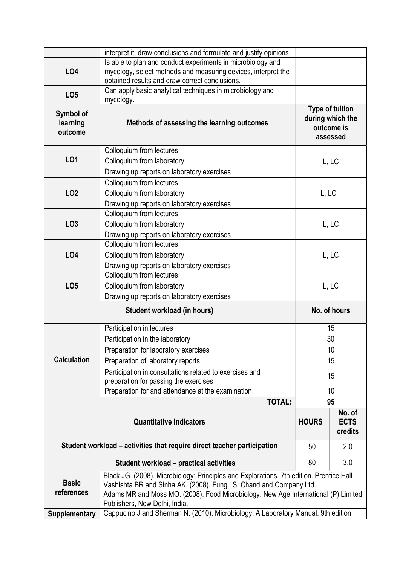|                                                                         | interpret it, draw conclusions and formulate and justify opinions.                                                  |                                                                      |       |  |  |  |  |
|-------------------------------------------------------------------------|---------------------------------------------------------------------------------------------------------------------|----------------------------------------------------------------------|-------|--|--|--|--|
|                                                                         |                                                                                                                     |                                                                      |       |  |  |  |  |
| <b>LO4</b>                                                              | mycology, select methods and measuring devices, interpret the                                                       |                                                                      |       |  |  |  |  |
|                                                                         | obtained results and draw correct conclusions.                                                                      |                                                                      |       |  |  |  |  |
| LO <sub>5</sub>                                                         | Can apply basic analytical techniques in microbiology and<br>mycology.                                              |                                                                      |       |  |  |  |  |
| Symbol of<br>learning<br>outcome                                        | Methods of assessing the learning outcomes                                                                          | <b>Type of tuition</b><br>during which the<br>outcome is<br>assessed |       |  |  |  |  |
|                                                                         | Colloquium from lectures                                                                                            |                                                                      |       |  |  |  |  |
| L01                                                                     | Colloquium from laboratory                                                                                          |                                                                      | L, LC |  |  |  |  |
|                                                                         | Drawing up reports on laboratory exercises                                                                          |                                                                      |       |  |  |  |  |
|                                                                         | Colloquium from lectures                                                                                            | L, LC                                                                |       |  |  |  |  |
| <b>LO2</b>                                                              | Colloquium from laboratory                                                                                          |                                                                      |       |  |  |  |  |
|                                                                         | Drawing up reports on laboratory exercises                                                                          |                                                                      |       |  |  |  |  |
|                                                                         | Colloquium from lectures                                                                                            |                                                                      |       |  |  |  |  |
| LO <sub>3</sub>                                                         | Colloquium from laboratory                                                                                          | L, LC                                                                |       |  |  |  |  |
|                                                                         | Drawing up reports on laboratory exercises                                                                          |                                                                      |       |  |  |  |  |
|                                                                         | Colloquium from lectures                                                                                            |                                                                      |       |  |  |  |  |
| <b>LO4</b>                                                              | Colloquium from laboratory                                                                                          | L, LC                                                                |       |  |  |  |  |
|                                                                         | Drawing up reports on laboratory exercises                                                                          |                                                                      |       |  |  |  |  |
|                                                                         | Colloquium from lectures                                                                                            |                                                                      |       |  |  |  |  |
| LO <sub>5</sub>                                                         | Colloquium from laboratory                                                                                          | L, LC                                                                |       |  |  |  |  |
|                                                                         | Drawing up reports on laboratory exercises                                                                          |                                                                      |       |  |  |  |  |
| Student workload (in hours)                                             |                                                                                                                     | No. of hours                                                         |       |  |  |  |  |
|                                                                         | Participation in lectures                                                                                           | 15                                                                   |       |  |  |  |  |
|                                                                         | Participation in the laboratory                                                                                     | 30                                                                   |       |  |  |  |  |
|                                                                         | Preparation for laboratory exercises                                                                                | 10                                                                   |       |  |  |  |  |
| <b>Calculation</b>                                                      | Preparation of laboratory reports                                                                                   | 15                                                                   |       |  |  |  |  |
|                                                                         | Participation in consultations related to exercises and                                                             | 15                                                                   |       |  |  |  |  |
|                                                                         | preparation for passing the exercises                                                                               |                                                                      |       |  |  |  |  |
|                                                                         | Preparation for and attendance at the examination<br><b>TOTAL:</b>                                                  | 10                                                                   |       |  |  |  |  |
|                                                                         | 95                                                                                                                  |                                                                      |       |  |  |  |  |
|                                                                         | <b>HOURS</b>                                                                                                        | No. of<br><b>ECTS</b><br>credits                                     |       |  |  |  |  |
| Student workload – activities that require direct teacher participation | 50                                                                                                                  | 2,0                                                                  |       |  |  |  |  |
|                                                                         | 80                                                                                                                  | 3,0                                                                  |       |  |  |  |  |
|                                                                         | Black JG. (2008). Microbiology: Principles and Explorations. 7th edition. Prentice Hall                             |                                                                      |       |  |  |  |  |
| <b>Basic</b>                                                            | Vashishta BR and Sinha AK. (2008). Fungi. S. Chand and Company Ltd.                                                 |                                                                      |       |  |  |  |  |
| references                                                              |                                                                                                                     |                                                                      |       |  |  |  |  |
|                                                                         | Adams MR and Moss MO. (2008). Food Microbiology. New Age International (P) Limited                                  |                                                                      |       |  |  |  |  |
| <b>Supplementary</b>                                                    | Publishers, New Delhi, India.<br>Cappucino J and Sherman N. (2010). Microbiology: A Laboratory Manual. 9th edition. |                                                                      |       |  |  |  |  |